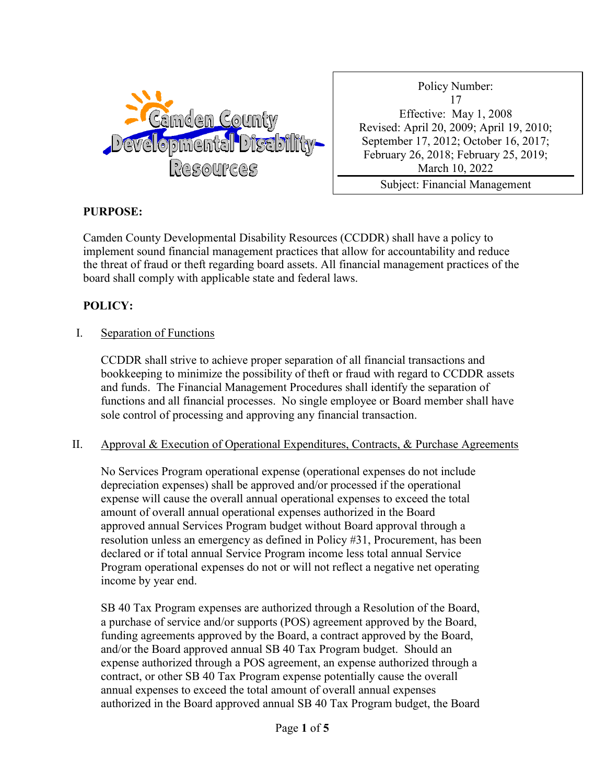

Policy Number: 17 Effective: May 1, 2008 Revised: April 20, 2009; April 19, 2010; September 17, 2012; October 16, 2017; February 26, 2018; February 25, 2019; March 10, 2022 Subject: Financial Management

Practices

## **PURPOSE:**

Camden County Developmental Disability Resources (CCDDR) shall have a policy to implement sound financial management practices that allow for accountability and reduce the threat of fraud or theft regarding board assets. All financial management practices of the board shall comply with applicable state and federal laws.

# **POLICY:**

### I. Separation of Functions

CCDDR shall strive to achieve proper separation of all financial transactions and bookkeeping to minimize the possibility of theft or fraud with regard to CCDDR assets and funds. The Financial Management Procedures shall identify the separation of functions and all financial processes. No single employee or Board member shall have sole control of processing and approving any financial transaction.

## II. Approval & Execution of Operational Expenditures, Contracts, & Purchase Agreements

No Services Program operational expense (operational expenses do not include depreciation expenses) shall be approved and/or processed if the operational expense will cause the overall annual operational expenses to exceed the total amount of overall annual operational expenses authorized in the Board approved annual Services Program budget without Board approval through a resolution unless an emergency as defined in Policy #31, Procurement, has been declared or if total annual Service Program income less total annual Service Program operational expenses do not or will not reflect a negative net operating income by year end.

SB 40 Tax Program expenses are authorized through a Resolution of the Board, a purchase of service and/or supports (POS) agreement approved by the Board, funding agreements approved by the Board, a contract approved by the Board, and/or the Board approved annual SB 40 Tax Program budget. Should an expense authorized through a POS agreement, an expense authorized through a contract, or other SB 40 Tax Program expense potentially cause the overall annual expenses to exceed the total amount of overall annual expenses authorized in the Board approved annual SB 40 Tax Program budget, the Board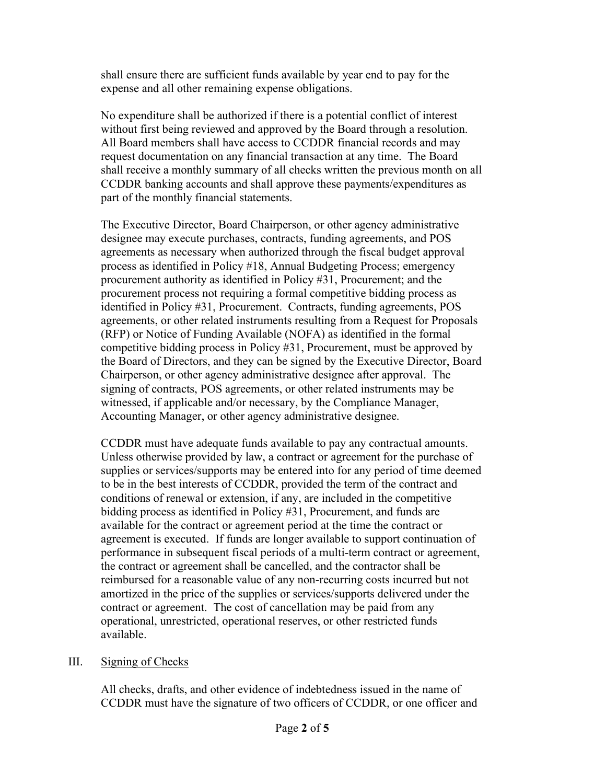shall ensure there are sufficient funds available by year end to pay for the expense and all other remaining expense obligations.

No expenditure shall be authorized if there is a potential conflict of interest without first being reviewed and approved by the Board through a resolution. All Board members shall have access to CCDDR financial records and may request documentation on any financial transaction at any time. The Board shall receive a monthly summary of all checks written the previous month on all CCDDR banking accounts and shall approve these payments/expenditures as part of the monthly financial statements.

The Executive Director, Board Chairperson, or other agency administrative designee may execute purchases, contracts, funding agreements, and POS agreements as necessary when authorized through the fiscal budget approval process as identified in Policy #18, Annual Budgeting Process; emergency procurement authority as identified in Policy #31, Procurement; and the procurement process not requiring a formal competitive bidding process as identified in Policy #31, Procurement. Contracts, funding agreements, POS agreements, or other related instruments resulting from a Request for Proposals (RFP) or Notice of Funding Available (NOFA) as identified in the formal competitive bidding process in Policy #31, Procurement, must be approved by the Board of Directors, and they can be signed by the Executive Director, Board Chairperson, or other agency administrative designee after approval. The signing of contracts, POS agreements, or other related instruments may be witnessed, if applicable and/or necessary, by the Compliance Manager, Accounting Manager, or other agency administrative designee.

CCDDR must have adequate funds available to pay any contractual amounts. Unless otherwise provided by law, a contract or agreement for the purchase of supplies or services/supports may be entered into for any period of time deemed to be in the best interests of CCDDR, provided the term of the contract and conditions of renewal or extension, if any, are included in the competitive bidding process as identified in Policy #31, Procurement, and funds are available for the contract or agreement period at the time the contract or agreement is executed. If funds are longer available to support continuation of performance in subsequent fiscal periods of a multi-term contract or agreement, the contract or agreement shall be cancelled, and the contractor shall be reimbursed for a reasonable value of any non-recurring costs incurred but not amortized in the price of the supplies or services/supports delivered under the contract or agreement. The cost of cancellation may be paid from any operational, unrestricted, operational reserves, or other restricted funds available.

## III. Signing of Checks

All checks, drafts, and other evidence of indebtedness issued in the name of CCDDR must have the signature of two officers of CCDDR, or one officer and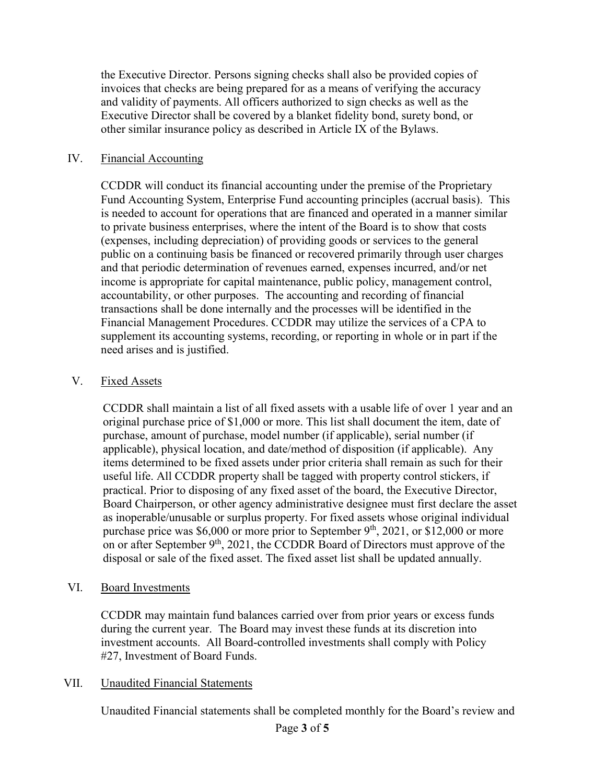the Executive Director. Persons signing checks shall also be provided copies of invoices that checks are being prepared for as a means of verifying the accuracy and validity of payments. All officers authorized to sign checks as well as the Executive Director shall be covered by a blanket fidelity bond, surety bond, or other similar insurance policy as described in Article IX of the Bylaws.

#### IV. Financial Accounting

CCDDR will conduct its financial accounting under the premise of the Proprietary Fund Accounting System, Enterprise Fund accounting principles (accrual basis). This is needed to account for operations that are financed and operated in a manner similar to private business enterprises, where the intent of the Board is to show that costs (expenses, including depreciation) of providing goods or services to the general public on a continuing basis be financed or recovered primarily through user charges and that periodic determination of revenues earned, expenses incurred, and/or net income is appropriate for capital maintenance, public policy, management control, accountability, or other purposes. The accounting and recording of financial transactions shall be done internally and the processes will be identified in the Financial Management Procedures. CCDDR may utilize the services of a CPA to supplement its accounting systems, recording, or reporting in whole or in part if the need arises and is justified.

### V. Fixed Assets

CCDDR shall maintain a list of all fixed assets with a usable life of over 1 year and an original purchase price of \$1,000 or more. This list shall document the item, date of purchase, amount of purchase, model number (if applicable), serial number (if applicable), physical location, and date/method of disposition (if applicable). Any items determined to be fixed assets under prior criteria shall remain as such for their useful life. All CCDDR property shall be tagged with property control stickers, if practical. Prior to disposing of any fixed asset of the board, the Executive Director, Board Chairperson, or other agency administrative designee must first declare the asset as inoperable/unusable or surplus property. For fixed assets whose original individual purchase price was \$6,000 or more prior to September 9<sup>th</sup>, 2021, or \$12,000 or more on or after September  $9<sup>th</sup>$ , 2021, the CCDDR Board of Directors must approve of the disposal or sale of the fixed asset. The fixed asset list shall be updated annually.

#### VI. Board Investments

CCDDR may maintain fund balances carried over from prior years or excess funds during the current year. The Board may invest these funds at its discretion into investment accounts. All Board-controlled investments shall comply with Policy #27, Investment of Board Funds.

#### VII. Unaudited Financial Statements

Unaudited Financial statements shall be completed monthly for the Board's review and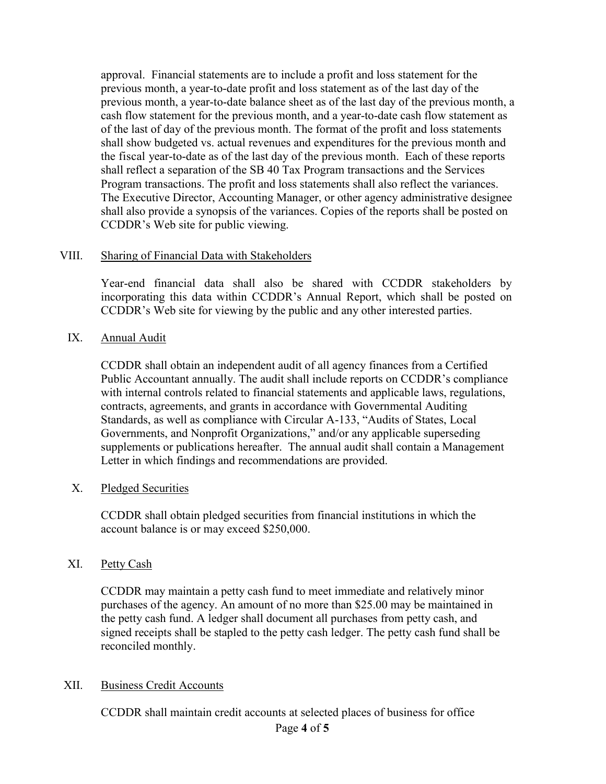approval. Financial statements are to include a profit and loss statement for the previous month, a year-to-date profit and loss statement as of the last day of the previous month, a year-to-date balance sheet as of the last day of the previous month, a cash flow statement for the previous month, and a year-to-date cash flow statement as of the last of day of the previous month. The format of the profit and loss statements shall show budgeted vs. actual revenues and expenditures for the previous month and the fiscal year-to-date as of the last day of the previous month. Each of these reports shall reflect a separation of the SB 40 Tax Program transactions and the Services Program transactions. The profit and loss statements shall also reflect the variances. The Executive Director, Accounting Manager, or other agency administrative designee shall also provide a synopsis of the variances. Copies of the reports shall be posted on CCDDR's Web site for public viewing.

### VIII. Sharing of Financial Data with Stakeholders

Year-end financial data shall also be shared with CCDDR stakeholders by incorporating this data within CCDDR's Annual Report, which shall be posted on CCDDR's Web site for viewing by the public and any other interested parties.

### IX. Annual Audit

CCDDR shall obtain an independent audit of all agency finances from a Certified Public Accountant annually. The audit shall include reports on CCDDR's compliance with internal controls related to financial statements and applicable laws, regulations, contracts, agreements, and grants in accordance with Governmental Auditing Standards, as well as compliance with Circular A-133, "Audits of States, Local Governments, and Nonprofit Organizations," and/or any applicable superseding supplements or publications hereafter. The annual audit shall contain a Management Letter in which findings and recommendations are provided.

#### X. Pledged Securities

CCDDR shall obtain pledged securities from financial institutions in which the account balance is or may exceed \$250,000.

## XI. Petty Cash

CCDDR may maintain a petty cash fund to meet immediate and relatively minor purchases of the agency. An amount of no more than \$25.00 may be maintained in the petty cash fund. A ledger shall document all purchases from petty cash, and signed receipts shall be stapled to the petty cash ledger. The petty cash fund shall be reconciled monthly.

## XII. Business Credit Accounts

CCDDR shall maintain credit accounts at selected places of business for office

## Page **4** of **5**